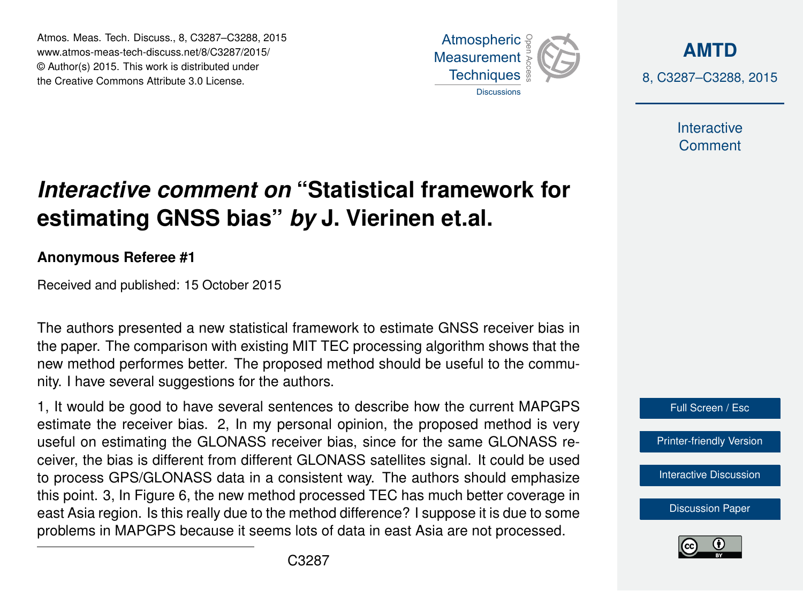Atmos. Meas. Tech. Discuss., 8, C3287–C3288, 2015 www.atmos-meas-tech-discuss.net/8/C3287/2015/ © Author(s) 2015. This work is distributed under the Creative Commons Attribute 3.0 License.



**[AMTD](http://www.atmos-meas-tech-discuss.net)** 8, C3287–C3288, 2015

> Interactive **Comment**

## *Interactive comment on* **"Statistical framework for estimating GNSS bias"** *by* **J. Vierinen et.al.**

## **Anonymous Referee #1**

Received and published: 15 October 2015

The authors presented a new statistical framework to estimate GNSS receiver bias in the paper. The comparison with existing MIT TEC processing algorithm shows that the new method performes better. The proposed method should be useful to the community. I have several suggestions for the authors.

1, It would be good to have several sentences to describe how the current MAPGPS estimate the receiver bias. 2, In my personal opinion, the proposed method is very useful on estimating the GLONASS receiver bias, since for the same GLONASS receiver, the bias is different from different GLONASS satellites signal. It could be used to process GPS/GLONASS data in a consistent way. The authors should emphasize this point. 3, In Figure 6, the new method processed TEC has much better coverage in east Asia region. Is this really due to the method difference? I suppose it is due to some problems in MAPGPS because it seems lots of data in east Asia are not processed.



**[Discussion Paper](http://www.atmos-meas-tech-discuss.net/8/9373/2015/amtd-8-9373-2015.pdf)**